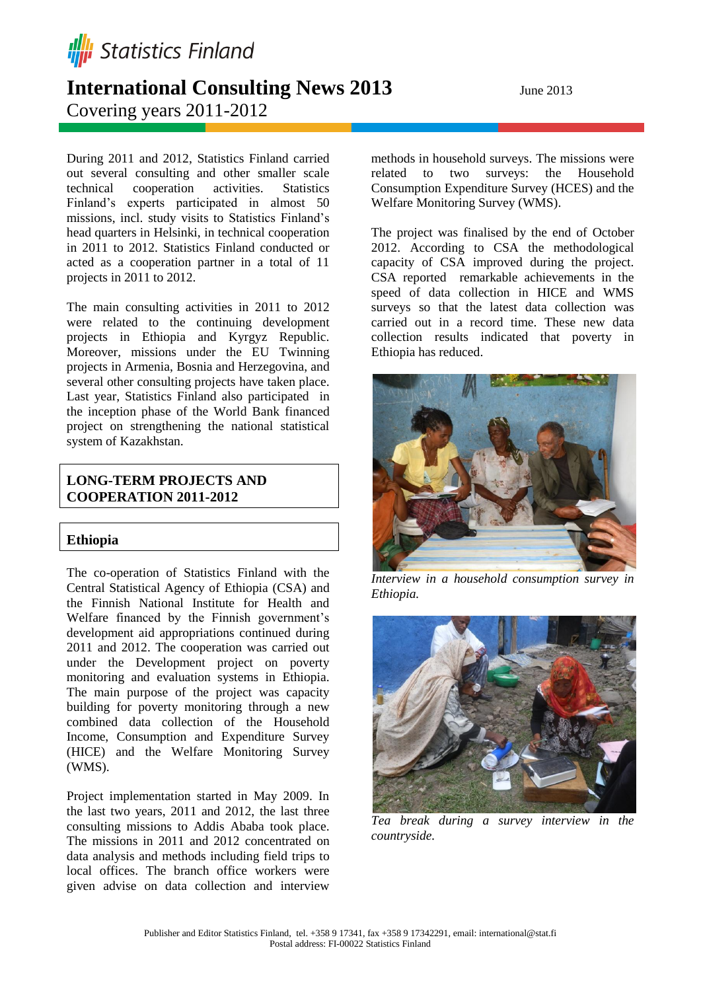

Project implementation started in May 2009. In the last two years, 2011 and 2012, the last three consulting missions to Addis Ababa took place. The missions in 2011 and 2012 concentrated on

missions, incl. study visits to Statistics Finland's head quarters in Helsinki, in technical cooperation in 2011 to 2012. Statistics Finland conducted or acted as a cooperation partner in a total of 11 projects in 2011 to 2012. The main consulting activities in 2011 to 2012

During 2011 and 2012, Statistics Finland carried out several consulting and other smaller scale technical cooperation activities. Statistics Finland's experts participated in almost 50

projects in Ethiopia and Kyrgyz Republic. Moreover, missions under the EU Twinning projects in Armenia, Bosnia and Herzegovina, and several other consulting projects have taken place. Last year, Statistics Finland also participated in the inception phase of the World Bank financed project on strengthening the national statistical system of Kazakhstan.

# **LONG-TERM PROJECTS AND COOPERATION 2011-2012**

# **Ethiopia**

The co-operation of Statistics Finland with the Central Statistical Agency of Ethiopia (CSA) and the Finnish National Institute for Health and Welfare financed by the Finnish government's development aid appropriations continued during 2011 and 2012. The cooperation was carried out under the Development project on poverty monitoring and evaluation systems in Ethiopia. The main purpose of the project was capacity building for poverty monitoring through a new combined data collection of the Household Income, Consumption and Expenditure Survey (HICE) and the Welfare Monitoring Survey (WMS).

data analysis and methods including field trips to local offices. The branch office workers were given advise on data collection and interview

methods in household surveys. The missions were related to two surveys: the Household Consumption Expenditure Survey (HCES) and the Welfare Monitoring Survey (WMS).

The project was finalised by the end of October 2012. According to CSA the methodological capacity of CSA improved during the project. CSA reported remarkable achievements in the speed of data collection in HICE and WMS surveys so that the latest data collection was carried out in a record time. These new data collection results indicated that poverty in Ethiopia has reduced.



*Interview in a household consumption survey in Ethiopia.* 







Covering years 2011-2012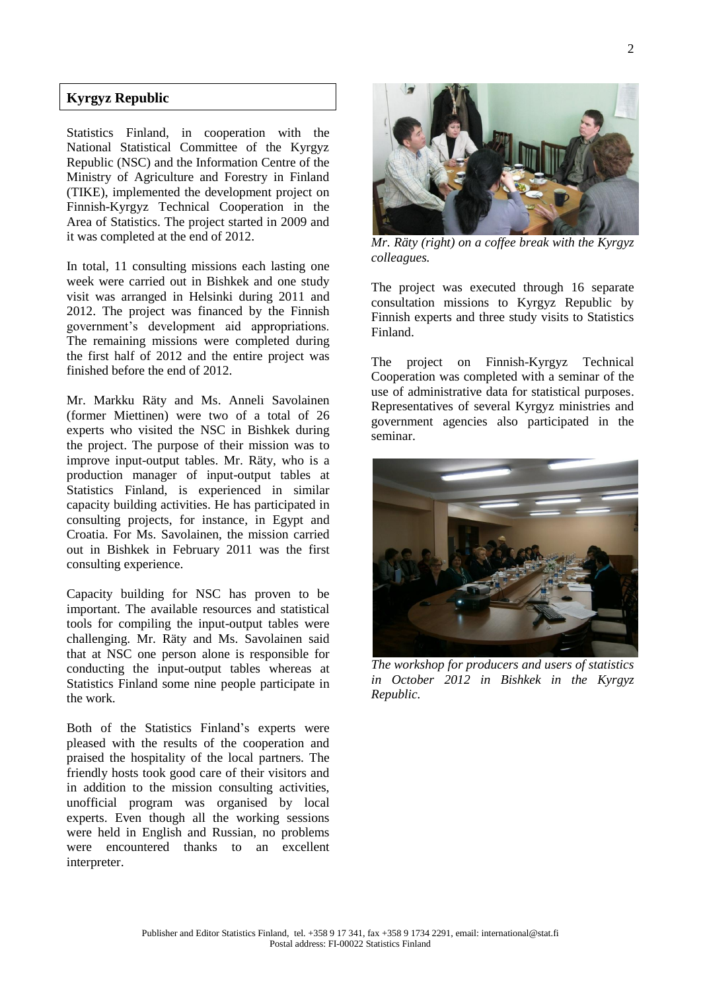## **Kyrgyz Republic**

Statistics Finland, in cooperation with the National Statistical Committee of the Kyrgyz Republic (NSC) and the Information Centre of the Ministry of Agriculture and Forestry in Finland (TIKE), implemented the development project on Finnish-Kyrgyz Technical Cooperation in the Area of Statistics. The project started in 2009 and it was completed at the end of 2012.

In total, 11 consulting missions each lasting one week were carried out in Bishkek and one study visit was arranged in Helsinki during 2011 and 2012. The project was financed by the Finnish government's development aid appropriations. The remaining missions were completed during the first half of 2012 and the entire project was finished before the end of 2012.

Mr. Markku Räty and Ms. Anneli Savolainen (former Miettinen) were two of a total of 26 experts who visited the NSC in Bishkek during the project. The purpose of their mission was to improve input-output tables. Mr. Räty, who is a production manager of input-output tables at Statistics Finland, is experienced in similar capacity building activities. He has participated in consulting projects, for instance, in Egypt and Croatia. For Ms. Savolainen, the mission carried out in Bishkek in February 2011 was the first consulting experience.

Capacity building for NSC has proven to be important. The available resources and statistical tools for compiling the input-output tables were challenging. Mr. Räty and Ms. Savolainen said that at NSC one person alone is responsible for conducting the input-output tables whereas at Statistics Finland some nine people participate in the work.

Both of the Statistics Finland's experts were pleased with the results of the cooperation and praised the hospitality of the local partners. The friendly hosts took good care of their visitors and in addition to the mission consulting activities, unofficial program was organised by local experts. Even though all the working sessions were held in English and Russian, no problems were encountered thanks to an excellent interpreter.



*Mr. Räty (right) on a coffee break with the Kyrgyz colleagues.* 

The project was executed through 16 separate consultation missions to Kyrgyz Republic by Finnish experts and three study visits to Statistics Finland.

The project on Finnish-Kyrgyz Technical Cooperation was completed with a seminar of the use of administrative data for statistical purposes. Representatives of several Kyrgyz ministries and government agencies also participated in the seminar.



*The workshop for producers and users of statistics in October 2012 in Bishkek in the Kyrgyz Republic.*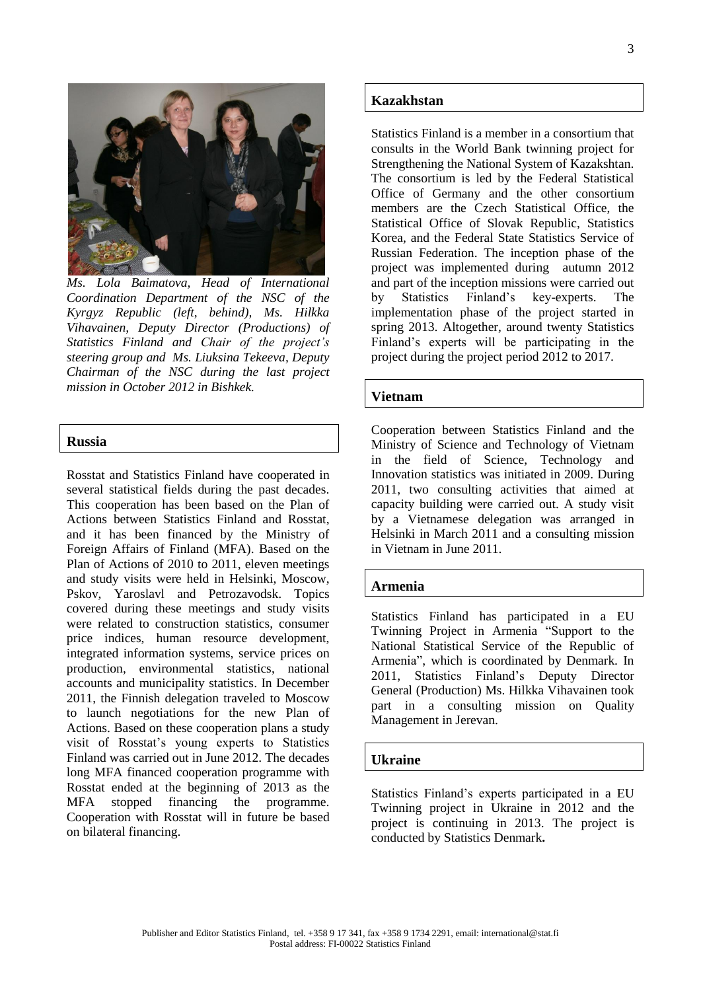

*Ms. Lola Baimatova, Head of International Coordination Department of the NSC of the Kyrgyz Republic (left, behind), Ms. Hilkka Vihavainen, Deputy Director (Productions) of Statistics Finland and Chair of the project's steering group and Ms. Liuksina Tekeeva, Deputy Chairman of the NSC during the last project mission in October 2012 in Bishkek.*

#### **Russia**

Rosstat and Statistics Finland have cooperated in several statistical fields during the past decades. This cooperation has been based on the Plan of Actions between Statistics Finland and Rosstat, and it has been financed by the Ministry of Foreign Affairs of Finland (MFA). Based on the Plan of Actions of 2010 to 2011, eleven meetings and study visits were held in Helsinki, Moscow, Pskov, Yaroslavl and Petrozavodsk. Topics covered during these meetings and study visits were related to construction statistics, consumer price indices, human resource development, integrated information systems, service prices on production, environmental statistics, national accounts and municipality statistics. In December 2011, the Finnish delegation traveled to Moscow to launch negotiations for the new Plan of Actions. Based on these cooperation plans a study visit of Rosstat's young experts to Statistics Finland was carried out in June 2012. The decades long MFA financed cooperation programme with Rosstat ended at the beginning of 2013 as the MFA stopped financing the programme. Cooperation with Rosstat will in future be based on bilateral financing.

#### **Kazakhstan**

Statistics Finland is a member in a consortium that consults in the World Bank twinning project for Strengthening the National System of Kazakshtan. The consortium is led by the Federal Statistical Office of Germany and the other consortium members are the Czech Statistical Office, the Statistical Office of Slovak Republic, Statistics Korea, and the Federal State Statistics Service of Russian Federation. The inception phase of the project was implemented during autumn 2012 and part of the inception missions were carried out by Statistics Finland's key-experts. The implementation phase of the project started in spring 2013. Altogether, around twenty Statistics Finland's experts will be participating in the project during the project period 2012 to 2017.

#### **Vietnam**

Cooperation between Statistics Finland and the Ministry of Science and Technology of Vietnam in the field of Science, Technology and Innovation statistics was initiated in 2009. During 2011, two consulting activities that aimed at capacity building were carried out. A study visit by a Vietnamese delegation was arranged in Helsinki in March 2011 and a consulting mission in Vietnam in June 2011.

#### **Armenia**

Statistics Finland has participated in a EU Twinning Project in Armenia "Support to the National Statistical Service of the Republic of Armenia", which is coordinated by Denmark. In 2011, Statistics Finland's Deputy Director General (Production) Ms. Hilkka Vihavainen took part in a consulting mission on Quality Management in Jerevan.

#### **Ukraine**

Statistics Finland's experts participated in a EU Twinning project in Ukraine in 2012 and the project is continuing in 2013. The project is conducted by Statistics Denmark**.**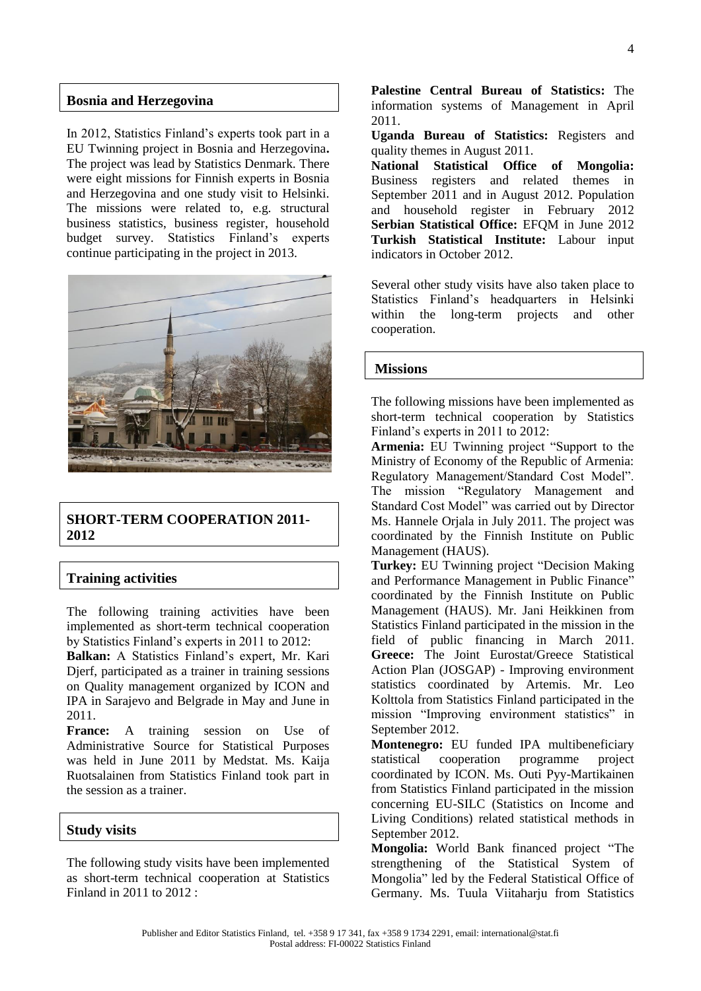### **Bosnia and Herzegovina**

In 2012, Statistics Finland's experts took part in a EU Twinning project in Bosnia and Herzegovina**.**  The project was lead by Statistics Denmark. There were eight missions for Finnish experts in Bosnia and Herzegovina and one study visit to Helsinki. The missions were related to, e.g. structural business statistics, business register, household budget survey. Statistics Finland's experts continue participating in the project in 2013.



## **SHORT-TERM COOPERATION 2011- 2012**

## **Training activities**

The following training activities have been implemented as short-term technical cooperation by Statistics Finland's experts in 2011 to 2012:

**Balkan:** A Statistics Finland's expert, Mr. Kari Djerf, participated as a trainer in training sessions on Quality management organized by ICON and IPA in Sarajevo and Belgrade in May and June in 2011.

**France:** A training session on Use of Administrative Source for Statistical Purposes was held in June 2011 by Medstat. Ms. Kaija Ruotsalainen from Statistics Finland took part in the session as a trainer.

## **Study visits**

The following study visits have been implemented as short-term technical cooperation at Statistics Finland in 2011 to 2012 :

**Palestine Central Bureau of Statistics:** The information systems of Management in April 2011.

**Uganda Bureau of Statistics:** Registers and quality themes in August 2011.

**National Statistical Office of Mongolia:**  Business registers and related themes in September 2011 and in August 2012. Population and household register in February 2012 **Serbian Statistical Office:** EFOM in June 2012 **Turkish Statistical Institute:** Labour input indicators in October 2012.

Several other study visits have also taken place to Statistics Finland's headquarters in Helsinki within the long-term projects and other cooperation.

### **Missions**

The following missions have been implemented as short-term technical cooperation by Statistics Finland's experts in 2011 to 2012:

**Armenia:** EU Twinning project "Support to the Ministry of Economy of the Republic of Armenia: Regulatory Management/Standard Cost Model". The mission "Regulatory Management and Standard Cost Model" was carried out by Director Ms. Hannele Orjala in July 2011. The project was coordinated by the Finnish Institute on Public Management (HAUS).

**Turkey:** EU Twinning project "Decision Making and Performance Management in Public Finance" coordinated by the Finnish Institute on Public Management (HAUS). Mr. Jani Heikkinen from Statistics Finland participated in the mission in the field of public financing in March 2011. **Greece:** The Joint Eurostat/Greece Statistical Action Plan (JOSGAP) - Improving environment statistics coordinated by Artemis. Mr. Leo Kolttola from Statistics Finland participated in the mission "Improving environment statistics" in September 2012.

**Montenegro:** EU funded IPA multibeneficiary statistical cooperation programme project coordinated by ICON. Ms. Outi Pyy-Martikainen from Statistics Finland participated in the mission concerning EU-SILC (Statistics on Income and Living Conditions) related statistical methods in September 2012.

**Mongolia:** World Bank financed project "The strengthening of the Statistical System of Mongolia" led by the Federal Statistical Office of Germany. Ms. Tuula Viitaharju from Statistics